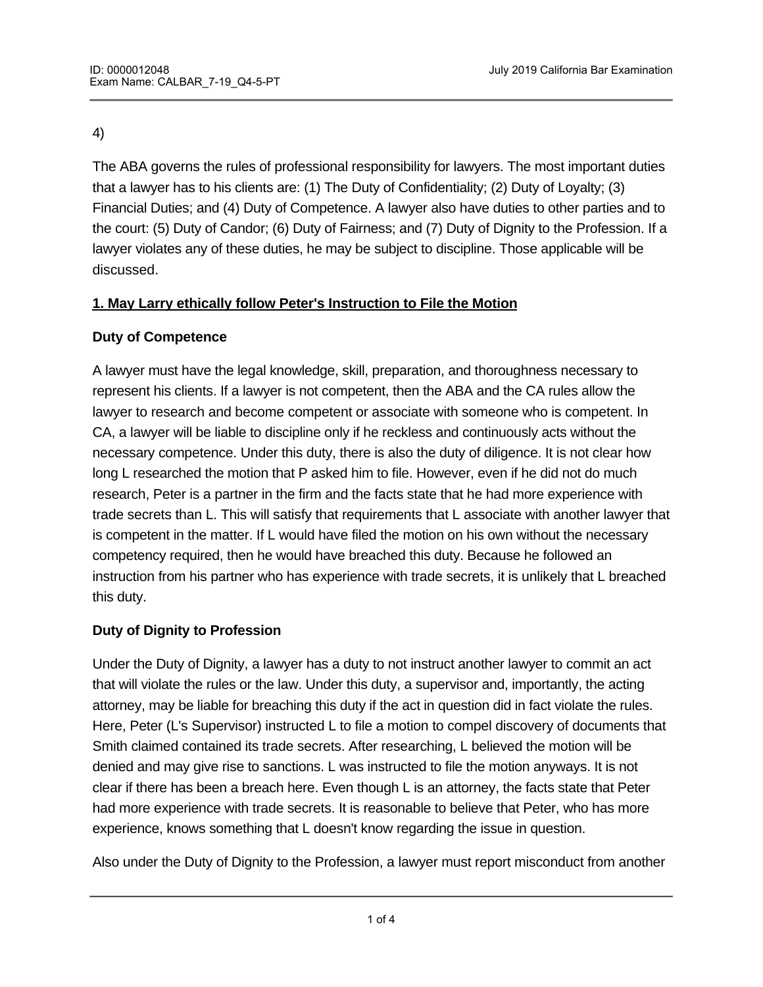### 4)

The ABA governs the rules of professional responsibility for lawyers. The most important duties that a lawyer has to his clients are: (1) The Duty of Confidentiality; (2) Duty of Loyalty; (3) Financial Duties; and (4) Duty of Competence. A lawyer also have duties to other parties and to the court: (5) Duty of Candor; (6) Duty of Fairness; and (7) Duty of Dignity to the Profession. If a lawyer violates any of these duties, he may be subject to discipline. Those applicable will be discussed.

## **1. May Larry ethically follow Peter's Instruction to File the Motion**

## **Duty of Competence**

A lawyer must have the legal knowledge, skill, preparation, and thoroughness necessary to represent his clients. If a lawyer is not competent, then the ABA and the CA rules allow the lawyer to research and become competent or associate with someone who is competent. In CA, a lawyer will be liable to discipline only if he reckless and continuously acts without the necessary competence. Under this duty, there is also the duty of diligence. It is not clear how long L researched the motion that P asked him to file. However, even if he did not do much research, Peter is a partner in the firm and the facts state that he had more experience with trade secrets than L. This will satisfy that requirements that L associate with another lawyer that is competent in the matter. If L would have filed the motion on his own without the necessary competency required, then he would have breached this duty. Because he followed an instruction from his partner who has experience with trade secrets, it is unlikely that L breached this duty.

## **Duty of Dignity to Profession**

Under the Duty of Dignity, a lawyer has a duty to not instruct another lawyer to commit an act that will violate the rules or the law. Under this duty, a supervisor and, importantly, the acting attorney, may be liable for breaching this duty if the act in question did in fact violate the rules. Here, Peter (L's Supervisor) instructed L to file a motion to compel discovery of documents that Smith claimed contained its trade secrets. After researching, L believed the motion will be denied and may give rise to sanctions. L was instructed to file the motion anyways. It is not clear if there has been a breach here. Even though L is an attorney, the facts state that Peter had more experience with trade secrets. It is reasonable to believe that Peter, who has more experience, knows something that L doesn't know regarding the issue in question.

Also under the Duty of Dignity to the Profession, a lawyer must report misconduct from another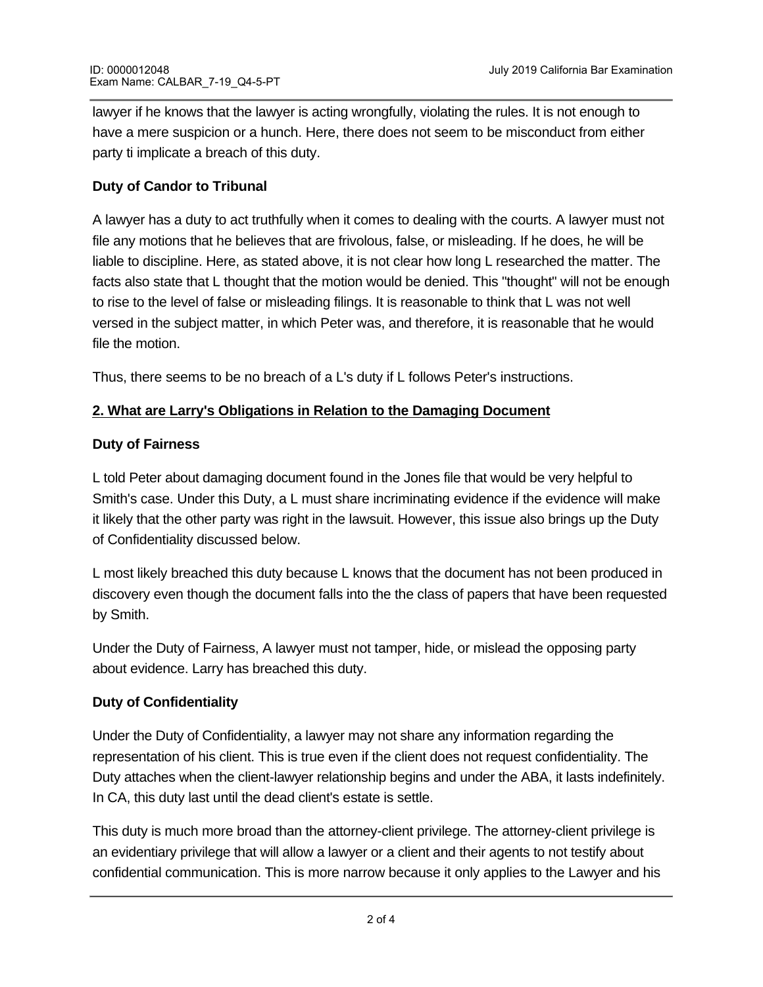lawyer if he knows that the lawyer is acting wrongfully, violating the rules. It is not enough to have a mere suspicion or a hunch. Here, there does not seem to be misconduct from either party ti implicate a breach of this duty.

### **Duty of Candor to Tribunal**

A lawyer has a duty to act truthfully when it comes to dealing with the courts. A lawyer must not file any motions that he believes that are frivolous, false, or misleading. If he does, he will be liable to discipline. Here, as stated above, it is not clear how long L researched the matter. The facts also state that L thought that the motion would be denied. This "thought" will not be enough to rise to the level of false or misleading filings. It is reasonable to think that L was not well versed in the subject matter, in which Peter was, and therefore, it is reasonable that he would file the motion.

Thus, there seems to be no breach of a L's duty if L follows Peter's instructions.

## **2. What are Larry's Obligations in Relation to the Damaging Document**

#### **Duty of Fairness**

L told Peter about damaging document found in the Jones file that would be very helpful to Smith's case. Under this Duty, a L must share incriminating evidence if the evidence will make it likely that the other party was right in the lawsuit. However, this issue also brings up the Duty of Confidentiality discussed below.

L most likely breached this duty because L knows that the document has not been produced in discovery even though the document falls into the the class of papers that have been requested by Smith.

Under the Duty of Fairness, A lawyer must not tamper, hide, or mislead the opposing party about evidence. Larry has breached this duty.

#### **Duty of Confidentiality**

Under the Duty of Confidentiality, a lawyer may not share any information regarding the representation of his client. This is true even if the client does not request confidentiality. The Duty attaches when the client-lawyer relationship begins and under the ABA, it lasts indefinitely. In CA, this duty last until the dead client's estate is settle.

This duty is much more broad than the attorney-client privilege. The attorney-client privilege is an evidentiary privilege that will allow a lawyer or a client and their agents to not testify about confidential communication. This is more narrow because it only applies to the Lawyer and his

client and the L's agents. Under the Duty of Confidentiality, the scope is between even third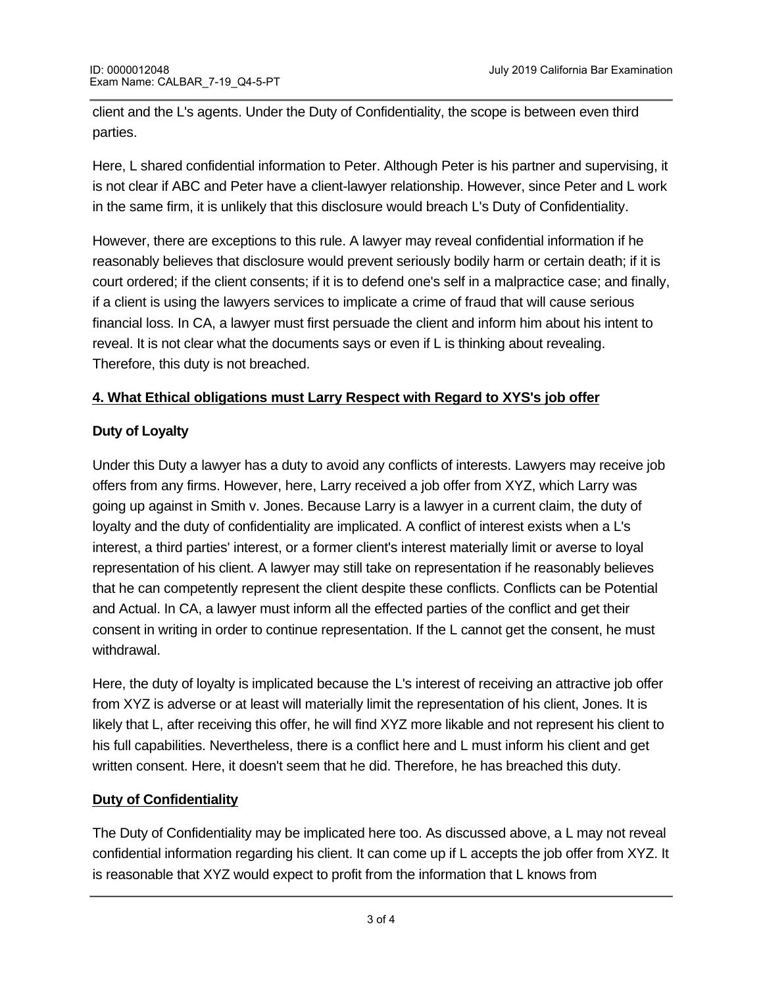client and the L's agents. Under the Duty of Confidentiality, the scope is between even third parties.

Here, L shared confidential information to Peter. Although Peter is his partner and supervising, it is not clear if ABC and Peter have a client-lawyer relationship. However, since Peter and L work in the same firm, it is unlikely that this disclosure would breach L's Duty of Confidentiality.

However, there are exceptions to this rule. A lawyer may reveal confidential information if he reasonably believes that disclosure would prevent seriously bodily harm or certain death; if it is court ordered; if the client consents; if it is to defend one's self in a malpractice case; and finally, if a client is using the lawyers services to implicate a crime of fraud that will cause serious financial loss. In CA, a lawyer must first persuade the client and inform him about his intent to reveal. It is not clear what the documents says or even if L is thinking about revealing. Therefore, this duty is not breached.

## **4. What Ethical obligations must Larry Respect with Regard to XYS's job offer**

## **Duty of Loyalty**

Under this Duty a lawyer has a duty to avoid any conflicts of interests. Lawyers may receive job offers from any firms. However, here, Larry received a job offer from XYZ, which Larry was going up against in Smith v. Jones. Because Larry is a lawyer in a current claim, the duty of loyalty and the duty of confidentiality are implicated. A conflict of interest exists when a L's interest, a third parties' interest, or a former client's interest materially limit or averse to loyal representation of his client. A lawyer may still take on representation if he reasonably believes that he can competently represent the client despite these conflicts. Conflicts can be Potential and Actual. In CA, a lawyer must inform all the effected parties of the conflict and get their consent in writing in order to continue representation. If the L cannot get the consent, he must withdrawal.

Here, the duty of loyalty is implicated because the L's interest of receiving an attractive job offer from XYZ is adverse or at least will materially limit the representation of his client, Jones. It is likely that L, after receiving this offer, he will find XYZ more likable and not represent his client to his full capabilities. Nevertheless, there is a conflict here and L must inform his client and get written consent. Here, it doesn't seem that he did. Therefore, he has breached this duty.

# **Duty of Confidentiality**

The Duty of Confidentiality may be implicated here too. As discussed above, a L may not reveal confidential information regarding his client. It can come up if L accepts the job offer from XYZ. It is reasonable that XYZ would expect to profit from the information that L knows from

representing Jones. However, nothing in the facts state that L has revealed information or if